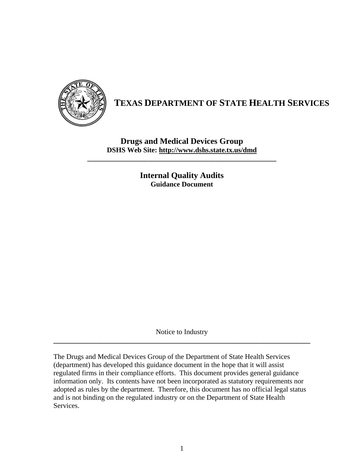

## **TEXAS DEPARTMENT OF STATE HEALTH SERVICES**

**Drugs and Medical Devices Group DSHS Web Site: http://www.dshs.state.tx.us/dmd**

**\_\_\_\_\_\_\_\_\_\_\_\_\_\_\_\_\_\_\_\_\_\_\_\_\_\_\_\_\_\_\_\_\_\_\_\_\_\_\_\_\_\_\_\_\_\_\_\_\_\_\_\_\_** 

**Internal Quality Audits Guidance Document** 

Notice to Industry **\_\_\_\_\_\_\_\_\_\_\_\_\_\_\_\_\_\_\_\_\_\_\_\_\_\_\_\_\_\_\_\_\_\_\_\_\_\_\_\_\_\_\_\_\_\_\_\_\_\_\_\_\_\_\_\_\_\_\_\_\_\_\_\_\_\_\_\_\_\_\_\_** 

The Drugs and Medical Devices Group of the Department of State Health Services (department) has developed this guidance document in the hope that it will assist regulated firms in their compliance efforts. This document provides general guidance information only. Its contents have not been incorporated as statutory requirements nor adopted as rules by the department. Therefore, this document has no official legal status and is not binding on the regulated industry or on the Department of State Health Services.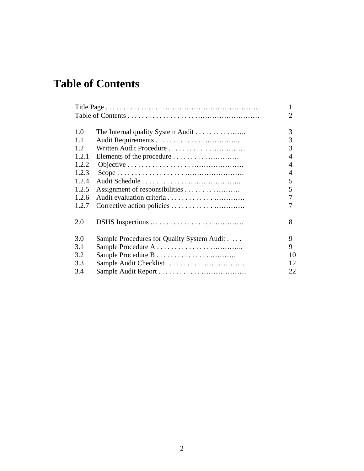# **Table of Contents**

|       |                                            | 1              |
|-------|--------------------------------------------|----------------|
|       |                                            | $\overline{2}$ |
|       |                                            |                |
| 1.0   |                                            | 3              |
| 1.1   |                                            | 3              |
| 1.2.  |                                            | 3              |
| 1.2.1 |                                            | 4              |
| 1.2.2 |                                            | 4              |
| 1.2.3 |                                            | 4              |
| 1.2.4 |                                            | 5              |
| 1.2.5 |                                            | 5              |
| 1.2.6 |                                            | 7              |
| 1.2.7 |                                            | 7              |
| 2.0   |                                            | 8              |
|       |                                            |                |
| 3.0   | Sample Procedures for Quality System Audit | 9              |
| 3.1   |                                            | 9              |
| 3.2   |                                            | 10             |
| 3.3   |                                            | 12             |
| 3.4   |                                            | 22             |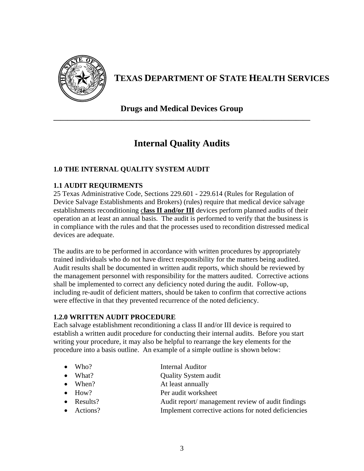

## **TEXAS DEPARTMENT OF STATE HEALTH SERVICES**

**Drugs and Medical Devices Group \_\_\_\_\_\_\_\_\_\_\_\_\_\_\_\_\_\_\_\_\_\_\_\_\_\_\_\_\_\_\_\_\_\_\_\_\_\_\_\_\_\_\_\_\_\_\_\_\_\_\_\_\_\_\_\_\_\_\_\_\_\_\_\_\_\_\_\_\_\_\_\_** 

## **Internal Quality Audits**

#### **1.0 THE INTERNAL QUALITY SYSTEM AUDIT**

#### **1.1 AUDIT REQUIRMENTS**

25 Texas Administrative Code, Sections 229.601 - 229.614 (Rules for Regulation of Device Salvage Establishments and Brokers) (rules) require that medical device salvage establishments reconditioning c**lass II and/or III** devices perform planned audits of their operation an at least an annual basis. The audit is performed to verify that the business is in compliance with the rules and that the processes used to recondition distressed medical devices are adequate.

The audits are to be performed in accordance with written procedures by appropriately trained individuals who do not have direct responsibility for the matters being audited. Audit results shall be documented in written audit reports, which should be reviewed by the management personnel with responsibility for the matters audited. Corrective actions shall be implemented to correct any deficiency noted during the audit. Follow-up, including re-audit of deficient matters, should be taken to confirm that corrective actions were effective in that they prevented recurrence of the noted deficiency.

#### **1.2.0 WRITTEN AUDIT PROCEDURE**

Each salvage establishment reconditioning a class II and/or III device is required to establish a written audit procedure for conducting their internal audits. Before you start writing your procedure, it may also be helpful to rearrange the key elements for the procedure into a basis outline. An example of a simple outline is shown below:

- Who? Internal Auditor
- What? Quality System audit
- When? At least annually
- How? Per audit worksheet
- Results? Audit report/ management review of audit findings
- Actions? Implement corrective actions for noted deficiencies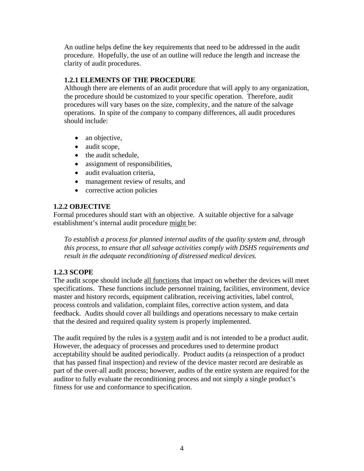An outline helps define the key requirements that need to be addressed in the audit procedure. Hopefully, the use of an outline will reduce the length and increase the clarity of audit procedures.

#### **1.2.1 ELEMENTS OF THE PROCEDURE**

Although there are elements of an audit procedure that will apply to any organization, the procedure should be customized to your specific operation. Therefore, audit procedures will vary bases on the size, complexity, and the nature of the salvage operations. In spite of the company to company differences, all audit procedures should include:

- an objective,
- audit scope,
- the audit schedule,
- assignment of responsibilities,
- audit evaluation criteria.
- management review of results, and
- corrective action policies

#### **1.2.2 OBJECTIVE**

Formal procedures should start with an objective. A suitable objective for a salvage establishment's internal audit procedure might be:

*To establish a process for planned internal audits of the quality system and, through this process, to ensure that all salvage activities comply with DSHS requirements and result in the adequate reconditioning of distressed medical devices.* 

#### **1.2.3 SCOPE**

The audit scope should include all functions that impact on whether the devices will meet specifications. These functions include personnel training, facilities, environment, device master and history records, equipment calibration, receiving activities, label control, process controls and validation, complaint files, corrective action system, and data feedback. Audits should cover all buildings and operations necessary to make certain that the desired and required quality system is properly implemented.

The audit required by the rules is a system audit and is not intended to be a product audit. However, the adequacy of processes and procedures used to determine product acceptability should be audited periodically. Product audits (a reinspection of a product that has passed final inspection) and review of the device master record are desirable as part of the over-all audit process; however, audits of the entire system are required for the auditor to fully evaluate the reconditioning process and not simply a single product's fitness for use and conformance to specification.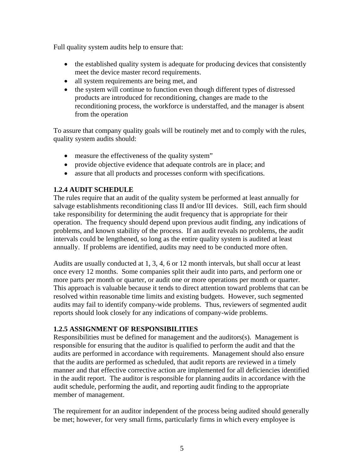Full quality system audits help to ensure that:

- the established quality system is adequate for producing devices that consistently meet the device master record requirements.
- all system requirements are being met, and
- the system will continue to function even though different types of distressed products are introduced for reconditioning, changes are made to the reconditioning process, the workforce is understaffed, and the manager is absent from the operation

To assure that company quality goals will be routinely met and to comply with the rules, quality system audits should:

- measure the effectiveness of the quality system"
- provide objective evidence that adequate controls are in place; and
- assure that all products and processes conform with specifications.

#### **1.2.4 AUDIT SCHEDULE**

The rules require that an audit of the quality system be performed at least annually for salvage establishments reconditioning class II and/or III devices. Still, each firm should take responsibility for determining the audit frequency that is appropriate for their operation. The frequency should depend upon previous audit finding, any indications of problems, and known stability of the process. If an audit reveals no problems, the audit intervals could be lengthened, so long as the entire quality system is audited at least annually. If problems are identified, audits may need to be conducted more often.

Audits are usually conducted at 1, 3, 4, 6 or 12 month intervals, but shall occur at least once every 12 months. Some companies split their audit into parts, and perform one or more parts per month or quarter, or audit one or more operations per month or quarter. This approach is valuable because it tends to direct attention toward problems that can be resolved within reasonable time limits and existing budgets. However, such segmented audits may fail to identify company-wide problems. Thus, reviewers of segmented audit reports should look closely for any indications of company-wide problems.

#### **1.2.5 ASSIGNMENT OF RESPONSIBILITIES**

Responsibilities must be defined for management and the auditors(s). Management is responsible for ensuring that the auditor is qualified to perform the audit and that the audits are performed in accordance with requirements. Management should also ensure that the audits are performed as scheduled, that audit reports are reviewed in a timely manner and that effective corrective action are implemented for all deficiencies identified in the audit report. The auditor is responsible for planning audits in accordance with the audit schedule, performing the audit, and reporting audit finding to the appropriate member of management.

The requirement for an auditor independent of the process being audited should generally be met; however, for very small firms, particularly firms in which every employee is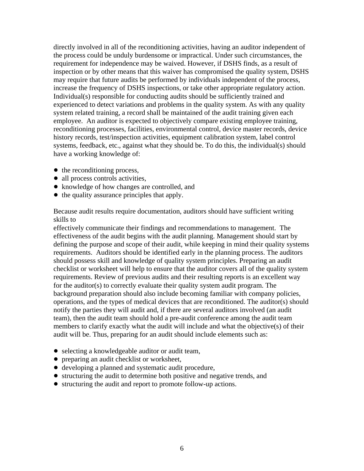directly involved in all of the reconditioning activities, having an auditor independent of the process could be unduly burdensome or impractical. Under such circumstances, the requirement for independence may be waived. However, if DSHS finds, as a result of inspection or by other means that this waiver has compromised the quality system, DSHS may require that future audits be performed by individuals independent of the process, increase the frequency of DSHS inspections, or take other appropriate regulatory action. Individual(s) responsible for conducting audits should be sufficiently trained and experienced to detect variations and problems in the quality system. As with any quality system related training, a record shall be maintained of the audit training given each employee. An auditor is expected to objectively compare existing employee training, reconditioning processes, facilities, environmental control, device master records, device history records, test/inspection activities, equipment calibration system, label control systems, feedback, etc., against what they should be. To do this, the individual(s) should have a working knowledge of:

- $\bullet$  the reconditioning process,
- all process controls activities,
- knowledge of how changes are controlled, and
- the quality assurance principles that apply.

Because audit results require documentation, auditors should have sufficient writing skills to

effectively communicate their findings and recommendations to management. The effectiveness of the audit begins with the audit planning. Management should start by defining the purpose and scope of their audit, while keeping in mind their quality systems requirements. Auditors should be identified early in the planning process. The auditors should possess skill and knowledge of quality system principles. Preparing an audit checklist or worksheet will help to ensure that the auditor covers all of the quality system requirements. Review of previous audits and their resulting reports is an excellent way for the auditor(s) to correctly evaluate their quality system audit program. The background preparation should also include becoming familiar with company policies, operations, and the types of medical devices that are reconditioned. The auditor(s) should notify the parties they will audit and, if there are several auditors involved (an audit team), then the audit team should hold a pre-audit conference among the audit team members to clarify exactly what the audit will include and what the objective(s) of their audit will be. Thus, preparing for an audit should include elements such as:

- selecting a knowledgeable auditor or audit team,
- preparing an audit checklist or worksheet,
- developing a planned and systematic audit procedure,
- structuring the audit to determine both positive and negative trends, and
- structuring the audit and report to promote follow-up actions.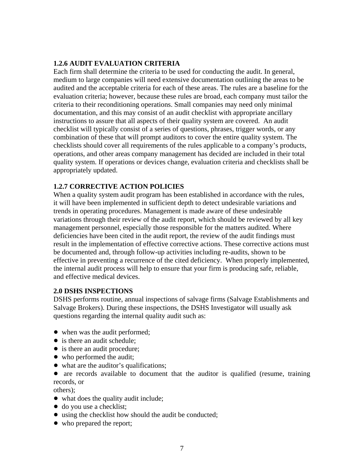#### **1.2.6 AUDIT EVALUATION CRITERIA**

Each firm shall determine the criteria to be used for conducting the audit. In general, medium to large companies will need extensive documentation outlining the areas to be audited and the acceptable criteria for each of these areas. The rules are a baseline for the evaluation criteria; however, because these rules are broad, each company must tailor the criteria to their reconditioning operations. Small companies may need only minimal documentation, and this may consist of an audit checklist with appropriate ancillary instructions to assure that all aspects of their quality system are covered. An audit checklist will typically consist of a series of questions, phrases, trigger words, or any combination of these that will prompt auditors to cover the entire quality system. The checklists should cover all requirements of the rules applicable to a company's products, operations, and other areas company management has decided are included in their total quality system. If operations or devices change, evaluation criteria and checklists shall be appropriately updated.

#### **1.2.7 CORRECTIVE ACTION POLICIES**

When a quality system audit program has been established in accordance with the rules, it will have been implemented in sufficient depth to detect undesirable variations and trends in operating procedures. Management is made aware of these undesirable variations through their review of the audit report, which should be reviewed by all key management personnel, especially those responsible for the matters audited. Where deficiencies have been cited in the audit report, the review of the audit findings must result in the implementation of effective corrective actions. These corrective actions must be documented and, through follow-up activities including re-audits, shown to be effective in preventing a recurrence of the cited deficiency. When properly implemented, the internal audit process will help to ensure that your firm is producing safe, reliable, and effective medical devices.

#### **2.0 DSHS INSPECTIONS**

DSHS performs routine, annual inspections of salvage firms (Salvage Establishments and Salvage Brokers). During these inspections, the DSHS Investigator will usually ask questions regarding the internal quality audit such as:

- when was the audit performed;
- is there an audit schedule:
- is there an audit procedure;
- who performed the audit;
- what are the auditor's qualifications;

• are records available to document that the auditor is qualified (resume, training records, or

others);

- what does the quality audit include;
- $\bullet$  do you use a checklist;
- using the checklist how should the audit be conducted;
- who prepared the report;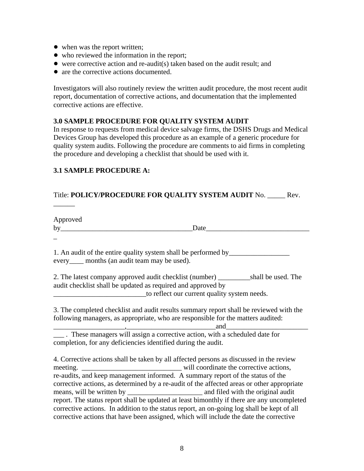- when was the report written;
- who reviewed the information in the report;
- $\bullet$  were corrective action and re-audit(s) taken based on the audit result; and
- are the corrective actions documented.

Investigators will also routinely review the written audit procedure, the most recent audit report, documentation of corrective actions, and documentation that the implemented corrective actions are effective.

#### **3.0 SAMPLE PROCEDURE FOR QUALITY SYSTEM AUDIT**

In response to requests from medical device salvage firms, the DSHS Drugs and Medical Devices Group has developed this procedure as an example of a generic procedure for quality system audits. Following the procedure are comments to aid firms in completing the procedure and developing a checklist that should be used with it.

#### **3.1 SAMPLE PROCEDURE A:**

 $\overline{\phantom{a}}$ 

#### Title: **POLICY/PROCEDURE FOR QUALITY SYSTEM AUDIT** No. \_\_\_\_\_ Rev.

Approved by\_\_\_\_\_\_\_\_\_\_\_\_\_\_\_\_\_\_\_\_\_\_\_\_\_\_\_\_\_\_\_\_\_\_\_\_\_Date\_\_\_\_\_\_\_\_\_\_\_\_\_\_\_\_\_\_\_\_\_\_\_\_\_\_\_\_\_  $\overline{a}$ 1. An audit of the entire quality system shall be performed by\_\_\_\_\_\_\_\_\_\_\_\_\_\_\_\_\_ every months (an audit team may be used). 2. The latest company approved audit checklist (number) shall be used. The audit checklist shall be updated as required and approved by to reflect our current quality system needs. 3. The completed checklist and audit results summary report shall be reviewed with the following managers, as appropriate, who are responsible for the matters audited:  $_{1}$  and  $_{2}$  and  $_{2}$  and  $_{3}$  and  $_{3}$  and  $_{3}$  and  $_{3}$  and  $_{3}$  and  $_{3}$  and  $_{3}$  and  $_{3}$  and  $_{3}$  and  $_{3}$  and  $_{3}$  and  $_{3}$  and  $_{3}$  and  $_{3}$  and  $_{3}$  and  $_{3}$  and  $_{3}$  and  $_{3}$  and  $_{3}$  and \_\_\_ . These managers will assign a corrective action, with a scheduled date for completion, for any deficiencies identified during the audit. 4. Corrective actions shall be taken by all affected persons as discussed in the review

meeting. \_\_\_\_\_\_\_\_\_\_\_\_\_\_\_\_\_\_\_\_\_\_\_\_\_\_\_\_ will coordinate the corrective actions, re-audits, and keep management informed. A summary report of the status of the corrective actions, as determined by a re-audit of the affected areas or other appropriate means, will be written by **will all and solution** and filed with the original audit report. The status report shall be updated at least bimonthly if there are any uncompleted corrective actions. In addition to the status report, an on-going log shall be kept of all corrective actions that have been assigned, which will include the date the corrective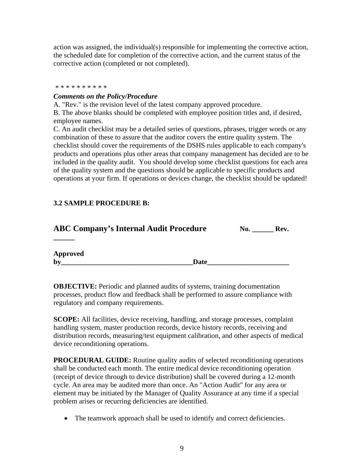action was assigned, the individual(s) responsible for implementing the corrective action, the scheduled date for completion of the corrective action, and the current status of the corrective action (completed or not completed).

#### \* \* \* \* \* \* \* \* \*

#### *Comments on the Policy/Procedure*

A. "Rev." is the revision level of the latest company approved procedure.

B. The above blanks should be completed with employee position titles and, if desired, employee names.

C. An audit checklist may be a detailed series of questions, phrases, trigger words or any combination of these to assure that the auditor covers the entire quality system. The checklist should cover the requirements of the DSHS rules applicable to each company's products and operations plus other areas that company management has decided are to be included in the quality audit. You should develop some checklist questions for each area of the quality system and the questions should be applicable to specific products and operations at your firm. If operations or devices change, the checklist should be updated!

#### **3.2 SAMPLE PROCEDURE B:**

| <b>ABC Company's Internal Audit Procedure</b> |      | No. | Rev. |
|-----------------------------------------------|------|-----|------|
|                                               |      |     |      |
| Approved                                      |      |     |      |
| by                                            | Date |     |      |

**OBJECTIVE:** Periodic and planned audits of systems, training documentation processes, product flow and feedback shall be performed to assure compliance with regulatory and company requirements.

**SCOPE:** All facilities, device receiving, handling, and storage processes, complaint handling system, master production records, device history records, receiving and distribution records, measuring/test equipment calibration, and other aspects of medical device reconditioning operations.

**PROCEDURAL GUIDE:** Routine quality audits of selected reconditioning operations shall be conducted each month. The entire medical device reconditioning operation (receipt of device through to device distribution) shall be covered during a 12-month cycle. An area may be audited more than once. An "Action Audit" for any area or element may be initiated by the Manager of Quality Assurance at any time if a special problem arises or recurring deficiencies are identified.

• The teamwork approach shall be used to identify and correct deficiencies.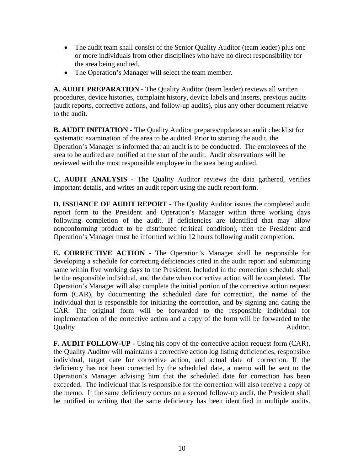- The audit team shall consist of the Senior Quality Auditor (team leader) plus one or more individuals from other disciplines who have no direct responsibility for the area being audited.
- The Operation's Manager will select the team member.

**A. AUDIT PREPARATION -** The Quality Auditor (team leader) reviews all written procedures, device histories, complaint history, device labels and inserts, previous audits (audit reports, corrective actions, and follow-up audits), plus any other document relative to the audit.

**B. AUDIT INITIATION - The Quality Auditor prepares/updates an audit checklist for** systematic examination of the area to be audited. Prior to starting the audit, the Operation's Manager is informed that an audit is to be conducted. The employees of the area to be audited are notified at the start of the audit. Audit observations will be reviewed with the most responsible employee in the area being audited.

**C. AUDIT ANALYSIS -** The Quality Auditor reviews the data gathered, verifies important details, and writes an audit report using the audit report form.

**D. ISSUANCE OF AUDIT REPORT - The Quality Auditor issues the completed audit** report form to the President and Operation's Manager within three working days following completion of the audit. If deficiencies are identified that may allow nonconforming product to be distributed (critical condition), then the President and Operation's Manager must be informed within 12 hours following audit completion.

**E. CORRECTIVE ACTION - The Operation's Manager shall be responsible for** developing a schedule for correcting deficiencies cited in the audit report and submitting same within five working days to the President. Included in the correction schedule shall be the responsible individual, and the date when corrective action will be completed. The Operation's Manager will also complete the initial portion of the corrective action request form (CAR), by documenting the scheduled date for correction, the name of the individual that is responsible for initiating the correction, and by signing and dating the CAR. The original form will be forwarded to the responsible individual for implementation of the corrective action and a copy of the form will be forwarded to the Quality Auditor.

**F. AUDIT FOLLOW-UP -** Using his copy of the corrective action request form (CAR), the Quality Auditor will maintains a corrective action log listing deficiencies, responsible individual, target date for corrective action, and actual date of correction. If the deficiency has not been corrected by the scheduled date, a memo will be sent to the Operation's Manager advising him that the scheduled date for correction has been exceeded. The individual that is responsible for the correction will also receive a copy of the memo. If the same deficiency occurs on a second follow-up audit, the President shall be notified in writing that the same deficiency has been identified in multiple audits.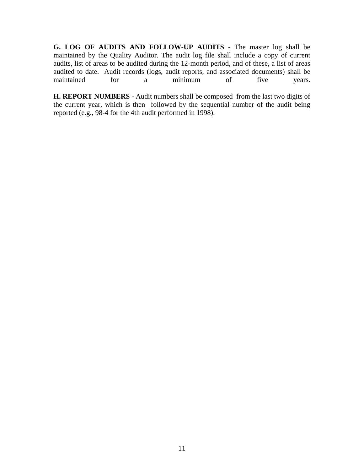**G. LOG OF AUDITS AND FOLLOW-UP AUDITS -** The master log shall be maintained by the Quality Auditor. The audit log file shall include a copy of current audits, list of areas to be audited during the 12-month period, and of these, a list of areas audited to date. Audit records (logs, audit reports, and associated documents) shall be maintained for a minimum of five years.

**H. REPORT NUMBERS -** Audit numbers shall be composed from the last two digits of the current year, which is then followed by the sequential number of the audit being reported (e.g., 98-4 for the 4th audit performed in 1998).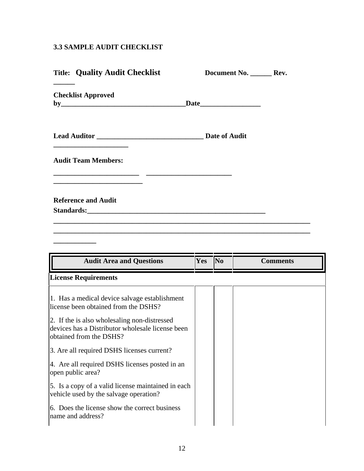#### **3.3 SAMPLE AUDIT CHECKLIST**

**\_\_\_\_\_\_\_\_\_\_\_\_** 

| <b>Title: Quality Audit Checklist</b> | Document No. _________ Rev. |  |
|---------------------------------------|-----------------------------|--|
| <b>Checklist Approved</b>             |                             |  |
|                                       | <b>Date of Audit</b>        |  |
| <b>Audit Team Members:</b>            |                             |  |
| <b>Reference and Audit</b>            |                             |  |
|                                       |                             |  |

| <b>Audit Area and Questions</b>                                                                                             | <b>Yes</b> | $\overline{\text{No}}$ | <b>Comments</b> |
|-----------------------------------------------------------------------------------------------------------------------------|------------|------------------------|-----------------|
| <b>License Requirements</b>                                                                                                 |            |                        |                 |
| 1. Has a medical device salvage establishment<br>license been obtained from the DSHS?                                       |            |                        |                 |
| 2. If the is also wholesaling non-distressed<br>devices has a Distributor wholesale license been<br>obtained from the DSHS? |            |                        |                 |
| 3. Are all required DSHS licenses current?                                                                                  |            |                        |                 |
| 4. Are all required DSHS licenses posted in an<br>open public area?                                                         |            |                        |                 |
| 5. Is a copy of a valid license maintained in each<br>vehicle used by the salvage operation?                                |            |                        |                 |
| 6. Does the license show the correct business<br>name and address?                                                          |            |                        |                 |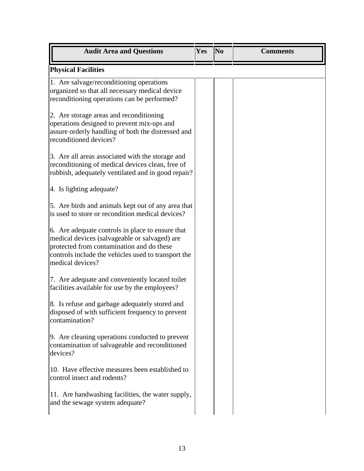| <b>Audit Area and Questions</b>                                                                                                                                                                                           | Yes | N <sub>0</sub> | <b>Comments</b> |
|---------------------------------------------------------------------------------------------------------------------------------------------------------------------------------------------------------------------------|-----|----------------|-----------------|
| <b>Physical Facilities</b>                                                                                                                                                                                                |     |                |                 |
| 1. Are salvage/reconditioning operations<br>organized so that all necessary medical device<br>reconditioning operations can be performed?                                                                                 |     |                |                 |
| 2. Are storage areas and reconditioning<br>operations designed to prevent mix-ups and<br>assure orderly handling of both the distressed and<br>reconditioned devices?                                                     |     |                |                 |
| 3. Are all areas associated with the storage and<br>reconditioning of medical devices clean, free of<br>rubbish, adequately ventilated and in good repair?                                                                |     |                |                 |
| 4. Is lighting adequate?                                                                                                                                                                                                  |     |                |                 |
| 5. Are birds and animals kept out of any area that<br>is used to store or recondition medical devices?                                                                                                                    |     |                |                 |
| 6. Are adequate controls in place to ensure that<br>medical devices (salvageable or salvaged) are<br>protected from contamination and do these<br>controls include the vehicles used to transport the<br>medical devices? |     |                |                 |
| 7. Are adequate and conveniently located toilet<br>facilities available for use by the employees?                                                                                                                         |     |                |                 |
| 8. Is refuse and garbage adequately stored and<br>disposed of with sufficient frequency to prevent<br>contamination?                                                                                                      |     |                |                 |
| 9. Are cleaning operations conducted to prevent<br>contamination of salvageable and reconditioned<br>devices?                                                                                                             |     |                |                 |
| 10. Have effective measures been established to<br>control insect and rodents?                                                                                                                                            |     |                |                 |
| 11. Are handwashing facilities, the water supply,<br>and the sewage system adequate?                                                                                                                                      |     |                |                 |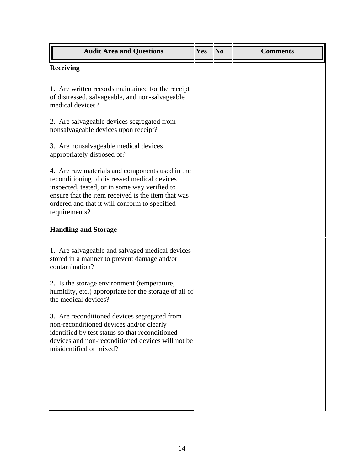| <b>Audit Area and Questions</b>                                                                                                                                                                                                                                          | Yes | $\overline{\text{No}}$ | <b>Comments</b> |
|--------------------------------------------------------------------------------------------------------------------------------------------------------------------------------------------------------------------------------------------------------------------------|-----|------------------------|-----------------|
| <b>Receiving</b>                                                                                                                                                                                                                                                         |     |                        |                 |
| 1. Are written records maintained for the receipt<br>of distressed, salvageable, and non-salvageable<br>medical devices?                                                                                                                                                 |     |                        |                 |
| 2. Are salvageable devices segregated from<br>nonsalvageable devices upon receipt?                                                                                                                                                                                       |     |                        |                 |
| 3. Are nonsalvageable medical devices<br>appropriately disposed of?                                                                                                                                                                                                      |     |                        |                 |
| 4. Are raw materials and components used in the<br>reconditioning of distressed medical devices<br>inspected, tested, or in some way verified to<br>ensure that the item received is the item that was<br>ordered and that it will conform to specified<br>requirements? |     |                        |                 |
| <b>Handling and Storage</b>                                                                                                                                                                                                                                              |     |                        |                 |
| 1. Are salvageable and salvaged medical devices<br>stored in a manner to prevent damage and/or<br>contamination?<br>2. Is the storage environment (temperature,                                                                                                          |     |                        |                 |
| humidity, etc.) appropriate for the storage of all of<br>the medical devices?                                                                                                                                                                                            |     |                        |                 |
| 3. Are reconditioned devices segregated from<br>non-reconditioned devices and/or clearly<br>identified by test status so that reconditioned<br>devices and non-reconditioned devices will not be<br>misidentified or mixed?                                              |     |                        |                 |
|                                                                                                                                                                                                                                                                          |     |                        |                 |
|                                                                                                                                                                                                                                                                          |     |                        |                 |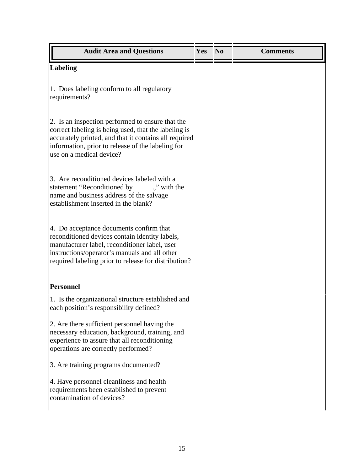| <b>Audit Area and Questions</b>                                                                                                                                                                                                                     | Yes | N <sub>0</sub> | <b>Comments</b> |
|-----------------------------------------------------------------------------------------------------------------------------------------------------------------------------------------------------------------------------------------------------|-----|----------------|-----------------|
| <b>Labeling</b>                                                                                                                                                                                                                                     |     |                |                 |
| 1. Does labeling conform to all regulatory<br>requirements?                                                                                                                                                                                         |     |                |                 |
| 2. Is an inspection performed to ensure that the<br>correct labeling is being used, that the labeling is<br>accurately printed, and that it contains all required<br>information, prior to release of the labeling for<br>use on a medical device?  |     |                |                 |
| 3. Are reconditioned devices labeled with a<br>statement "Reconditioned by ______.," with the<br>name and business address of the salvage<br>establishment inserted in the blank?                                                                   |     |                |                 |
| 4. Do acceptance documents confirm that<br>reconditioned devices contain identity labels,<br>manufacturer label, reconditioner label, user<br>instructions/operator's manuals and all other<br>required labeling prior to release for distribution? |     |                |                 |
| <b>Personnel</b>                                                                                                                                                                                                                                    |     |                |                 |
| 1. Is the organizational structure established and<br>each position's responsibility defined?                                                                                                                                                       |     |                |                 |
| 2. Are there sufficient personnel having the<br>necessary education, background, training, and<br>experience to assure that all reconditioning<br>operations are correctly performed?                                                               |     |                |                 |
| 3. Are training programs documented?                                                                                                                                                                                                                |     |                |                 |
| 4. Have personnel cleanliness and health<br>requirements been established to prevent<br>contamination of devices?                                                                                                                                   |     |                |                 |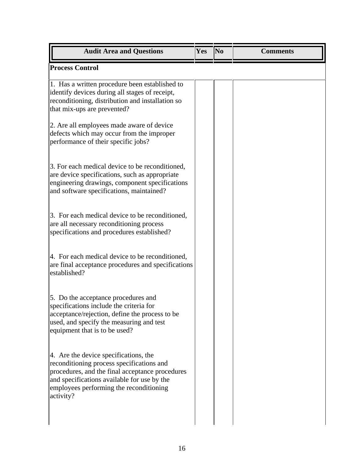| Yes | N <sub>0</sub> | <b>Comments</b> |
|-----|----------------|-----------------|
|     |                |                 |
|     |                |                 |
|     |                |                 |
|     |                |                 |
|     |                |                 |
|     |                |                 |
|     |                |                 |
|     |                |                 |
|     |                |                 |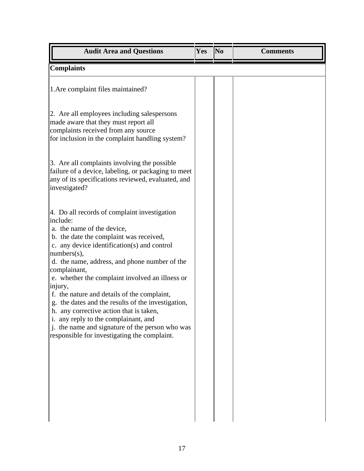| <b>Audit Area and Questions</b>                                                                                                                                                                                                                                                                                                                                                                                                                                                                                                                                                                                           | Yes | N <sub>0</sub> | <b>Comments</b> |
|---------------------------------------------------------------------------------------------------------------------------------------------------------------------------------------------------------------------------------------------------------------------------------------------------------------------------------------------------------------------------------------------------------------------------------------------------------------------------------------------------------------------------------------------------------------------------------------------------------------------------|-----|----------------|-----------------|
| <b>Complaints</b>                                                                                                                                                                                                                                                                                                                                                                                                                                                                                                                                                                                                         |     |                |                 |
| 1. Are complaint files maintained?                                                                                                                                                                                                                                                                                                                                                                                                                                                                                                                                                                                        |     |                |                 |
| 2. Are all employees including salespersons<br>made aware that they must report all<br>complaints received from any source<br>for inclusion in the complaint handling system?                                                                                                                                                                                                                                                                                                                                                                                                                                             |     |                |                 |
| 3. Are all complaints involving the possible<br>failure of a device, labeling, or packaging to meet<br>any of its specifications reviewed, evaluated, and<br>investigated?                                                                                                                                                                                                                                                                                                                                                                                                                                                |     |                |                 |
| 4. Do all records of complaint investigation<br>include:<br>a. the name of the device,<br>b. the date the complaint was received,<br>c. any device identification(s) and control<br>numbers(s),<br>d. the name, address, and phone number of the<br>complainant,<br>e. whether the complaint involved an illness or<br>injury,<br>f. the nature and details of the complaint,<br>g. the dates and the results of the investigation,<br>h. any corrective action that is taken,<br>i. any reply to the complainant, and<br>j. the name and signature of the person who was<br>responsible for investigating the complaint. |     |                |                 |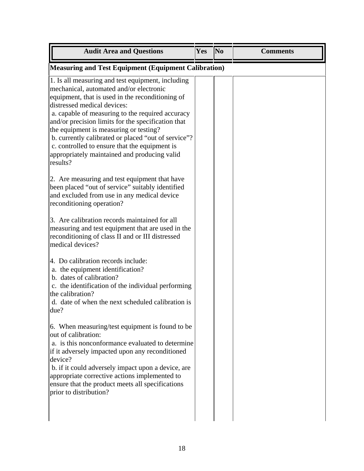| <b>Audit Area and Questions</b>                                                                                                                                                                                                                                                                                                                                                                                                                                                                                                                                                                                                                                                                                                           | Yes | N <sub>0</sub> | <b>Comments</b> |
|-------------------------------------------------------------------------------------------------------------------------------------------------------------------------------------------------------------------------------------------------------------------------------------------------------------------------------------------------------------------------------------------------------------------------------------------------------------------------------------------------------------------------------------------------------------------------------------------------------------------------------------------------------------------------------------------------------------------------------------------|-----|----------------|-----------------|
| <b>Measuring and Test Equipment (Equipment Calibration)</b>                                                                                                                                                                                                                                                                                                                                                                                                                                                                                                                                                                                                                                                                               |     |                |                 |
| 1. Is all measuring and test equipment, including<br>mechanical, automated and/or electronic<br>equipment, that is used in the reconditioning of<br>distressed medical devices:<br>a. capable of measuring to the required accuracy<br>and/or precision limits for the specification that<br>the equipment is measuring or testing?<br>b. currently calibrated or placed "out of service"?<br>c. controlled to ensure that the equipment is<br>appropriately maintained and producing valid<br>results?<br>2. Are measuring and test equipment that have<br>been placed "out of service" suitably identified<br>and excluded from use in any medical device<br>reconditioning operation?<br>3. Are calibration records maintained for all |     |                |                 |
| measuring and test equipment that are used in the<br>reconditioning of class II and or III distressed<br>medical devices?<br>4. Do calibration records include:<br>a. the equipment identification?                                                                                                                                                                                                                                                                                                                                                                                                                                                                                                                                       |     |                |                 |
| b. dates of calibration?<br>c. the identification of the individual performing<br>the calibration?<br>d. date of when the next scheduled calibration is<br>due?                                                                                                                                                                                                                                                                                                                                                                                                                                                                                                                                                                           |     |                |                 |
| 6. When measuring/test equipment is found to be<br>out of calibration:<br>a. is this nonconformance evaluated to determine<br>if it adversely impacted upon any reconditioned<br>device?<br>b. if it could adversely impact upon a device, are<br>appropriate corrective actions implemented to<br>ensure that the product meets all specifications<br>prior to distribution?                                                                                                                                                                                                                                                                                                                                                             |     |                |                 |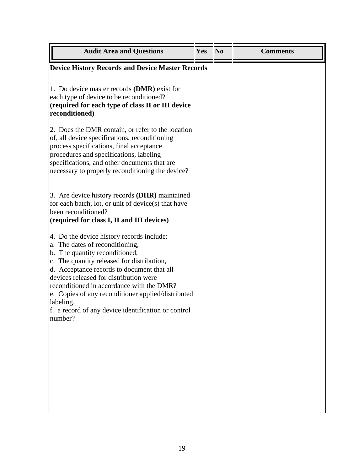| <b>Audit Area and Questions</b>                                                                                                                                                                                                                                                                                                                                                                                                        | Yes | No | <b>Comments</b> |
|----------------------------------------------------------------------------------------------------------------------------------------------------------------------------------------------------------------------------------------------------------------------------------------------------------------------------------------------------------------------------------------------------------------------------------------|-----|----|-----------------|
| <b>Device History Records and Device Master Records</b>                                                                                                                                                                                                                                                                                                                                                                                |     |    |                 |
| 1. Do device master records (DMR) exist for<br>each type of device to be reconditioned?<br>(required for each type of class II or III device<br>reconditioned)                                                                                                                                                                                                                                                                         |     |    |                 |
| 2. Does the DMR contain, or refer to the location<br>of, all device specifications, reconditioning<br>process specifications, final acceptance<br>procedures and specifications, labeling<br>specifications, and other documents that are<br>necessary to properly reconditioning the device?                                                                                                                                          |     |    |                 |
| 3. Are device history records (DHR) maintained<br>for each batch, lot, or unit of device(s) that have<br>been reconditioned?<br>(required for class I, II and III devices)                                                                                                                                                                                                                                                             |     |    |                 |
| 4. Do the device history records include:<br>a. The dates of reconditioning,<br>b. The quantity reconditioned,<br>c. The quantity released for distribution,<br>d. Acceptance records to document that all<br>devices released for distribution were<br>reconditioned in accordance with the DMR?<br>e. Copies of any reconditioner applied/distributed<br>labeling,<br>f. a record of any device identification or control<br>number? |     |    |                 |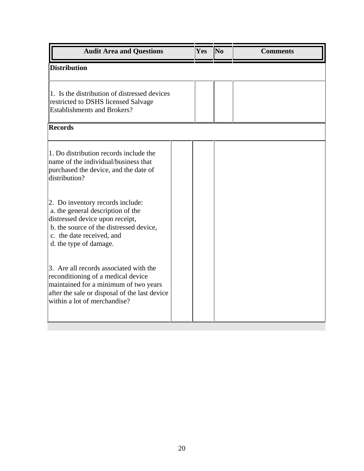| <b>Audit Area and Questions</b>                                                                                                                                                                            | Yes | $\overline{\text{No}}$ | <b>Comments</b> |
|------------------------------------------------------------------------------------------------------------------------------------------------------------------------------------------------------------|-----|------------------------|-----------------|
| <b>Distribution</b>                                                                                                                                                                                        |     |                        |                 |
| 1. Is the distribution of distressed devices<br>restricted to DSHS licensed Salvage<br><b>Establishments and Brokers?</b>                                                                                  |     |                        |                 |
| <b>Records</b>                                                                                                                                                                                             |     |                        |                 |
| 1. Do distribution records include the<br>name of the individual/business that<br>purchased the device, and the date of<br>distribution?                                                                   |     |                        |                 |
| 2. Do inventory records include:<br>a. the general description of the<br>distressed device upon receipt,<br>b. the source of the distressed device,<br>c. the date received, and<br>d. the type of damage. |     |                        |                 |
| 3. Are all records associated with the<br>reconditioning of a medical device<br>maintained for a minimum of two years<br>after the sale or disposal of the last device<br>within a lot of merchandise?     |     |                        |                 |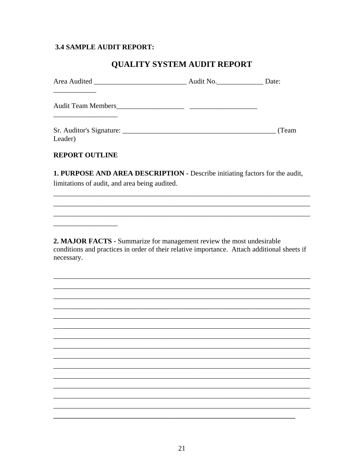#### **3.4 SAMPLE AUDIT REPORT:**

### QUALITY SYSTEM AUDIT REPORT

|                           | Audit No. | Date: |
|---------------------------|-----------|-------|
| <b>Audit Team Members</b> |           |       |
| Leader)                   |           | (Team |

#### **REPORT OUTLINE**

1. PURPOSE AND AREA DESCRIPTION - Describe initiating factors for the audit, limitations of audit, and area being audited.

2. MAJOR FACTS - Summarize for management review the most undesirable conditions and practices in order of their relative importance. Attach additional sheets if necessary.